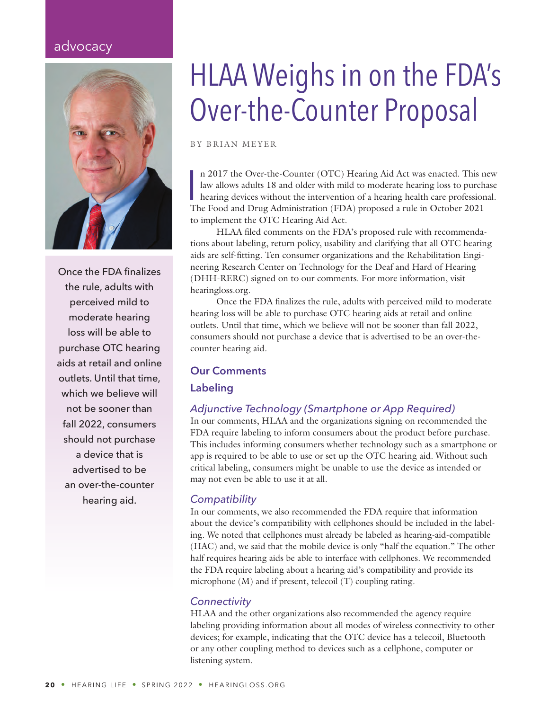# advocacy



Once the FDA finalizes the rule, adults with perceived mild to moderate hearing loss will be able to purchase OTC hearing aids at retail and online outlets. Until that time, which we believe will not be sooner than fall 2022, consumers should not purchase a device that is advertised to be an over-the-counter hearing aid.

# HLAA Weighs in on the FDA's Over-the-Counter Proposal

BY BRIAN MEYER

n 2017 the Over-the-Counter (OTC) Hearing Aid Act was enacted. This n<br>law allows adults 18 and older with mild to moderate hearing loss to purcha-<br>hearing devices without the intervention of a hearing health care professio n 2017 the Over-the-Counter (OTC) Hearing Aid Act was enacted. This new law allows adults 18 and older with mild to moderate hearing loss to purchase hearing devices without the intervention of a hearing health care professional. to implement the OTC Hearing Aid Act.

HLAA filed comments on the FDA's proposed rule with recommendations about labeling, return policy, usability and clarifying that all OTC hearing aids are self-fitting. Ten consumer organizations and the Rehabilitation Engineering Research Center on Technology for the Deaf and Hard of Hearing [\(DHH-RERC\) sign](http://hearingloss.org/hlaa-promotes-consumer-protection-in-comments-for-new-over-the-counter-hearing-aid-rule/)ed on to our comments. For more information, visit hearingloss.org.

Once the FDA finalizes the rule, adults with perceived mild to moderate hearing loss will be able to purchase OTC hearing aids at retail and online outlets. Until that time, which we believe will not be sooner than fall 2022, consumers should not purchase a device that is advertised to be an over-thecounter hearing aid.

# **Our Comments**

# **Labeling**

# *Adjunctive Technology (Smartphone or App Required)*

In our comments, HLAA and the organizations signing on recommended the FDA require labeling to inform consumers about the product before purchase. This includes informing consumers whether technology such as a smartphone or app is required to be able to use or set up the OTC hearing aid. Without such critical labeling, consumers might be unable to use the device as intended or may not even be able to use it at all.

# *Compatibility*

In our comments, we also recommended the FDA require that information about the device's compatibility with cellphones should be included in the labeling. We noted that cellphones must already be labeled as hearing-aid-compatible (HAC) and, we said that the mobile device is only "half the equation." The other half requires hearing aids be able to interface with cellphones. We recommended the FDA require labeling about a hearing aid's compatibility and provide its microphone (M) and if present, telecoil (T) coupling rating.

# *Connectivity*

HLAA and the other organizations also recommended the agency require labeling providing information about all modes of wireless connectivity to other devices; for example, indicating that the OTC device has a telecoil, Bluetooth or any other coupling method to devices such as a cellphone, computer or listening system.